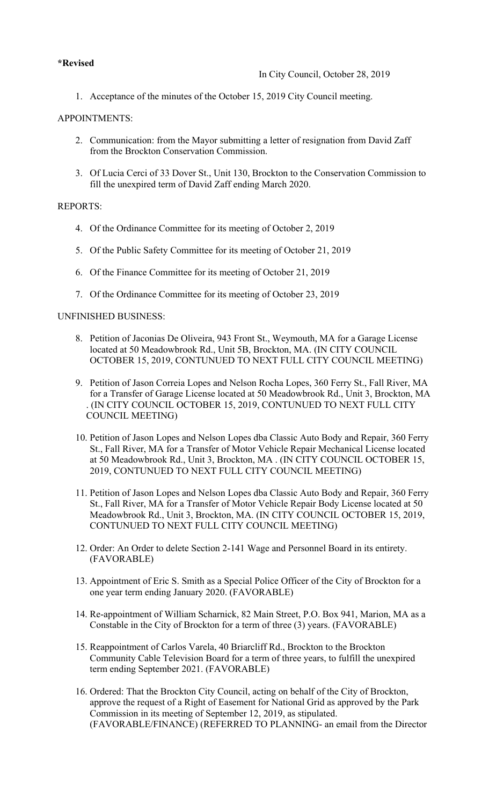# **\*Revised**

1. Acceptance of the minutes of the October 15, 2019 City Council meeting.

## APPOINTMENTS:

- 2. Communication: from the Mayor submitting a letter of resignation from David Zaff from the Brockton Conservation Commission.
- 3. Of Lucia Cerci of 33 Dover St., Unit 130, Brockton to the Conservation Commission to fill the unexpired term of David Zaff ending March 2020.

#### REPORTS:

- 4. Of the Ordinance Committee for its meeting of October 2, 2019
- 5. Of the Public Safety Committee for its meeting of October 21, 2019
- 6. Of the Finance Committee for its meeting of October 21, 2019
- 7. Of the Ordinance Committee for its meeting of October 23, 2019

#### UNFINISHED BUSINESS:

- 8. Petition of Jaconias De Oliveira, 943 Front St., Weymouth, MA for a Garage License located at 50 Meadowbrook Rd., Unit 5B, Brockton, MA. (IN CITY COUNCIL OCTOBER 15, 2019, CONTUNUED TO NEXT FULL CITY COUNCIL MEETING)
- 9. Petition of Jason Correia Lopes and Nelson Rocha Lopes, 360 Ferry St., Fall River, MA for a Transfer of Garage License located at 50 Meadowbrook Rd., Unit 3, Brockton, MA . (IN CITY COUNCIL OCTOBER 15, 2019, CONTUNUED TO NEXT FULL CITY COUNCIL MEETING)
- 10. Petition of Jason Lopes and Nelson Lopes dba Classic Auto Body and Repair, 360 Ferry St., Fall River, MA for a Transfer of Motor Vehicle Repair Mechanical License located at 50 Meadowbrook Rd., Unit 3, Brockton, MA . (IN CITY COUNCIL OCTOBER 15, 2019, CONTUNUED TO NEXT FULL CITY COUNCIL MEETING)
- 11. Petition of Jason Lopes and Nelson Lopes dba Classic Auto Body and Repair, 360 Ferry St., Fall River, MA for a Transfer of Motor Vehicle Repair Body License located at 50 Meadowbrook Rd., Unit 3, Brockton, MA. (IN CITY COUNCIL OCTOBER 15, 2019, CONTUNUED TO NEXT FULL CITY COUNCIL MEETING)
- 12. Order: An Order to delete Section 2-141 Wage and Personnel Board in its entirety. (FAVORABLE)
- 13. Appointment of Eric S. Smith as a Special Police Officer of the City of Brockton for a one year term ending January 2020. (FAVORABLE)
- 14. Re-appointment of William Scharnick, 82 Main Street, P.O. Box 941, Marion, MA as a Constable in the City of Brockton for a term of three (3) years. (FAVORABLE)
- 15. Reappointment of Carlos Varela, 40 Briarcliff Rd., Brockton to the Brockton Community Cable Television Board for a term of three years, to fulfill the unexpired term ending September 2021. (FAVORABLE)
- 16. Ordered: That the Brockton City Council, acting on behalf of the City of Brockton, approve the request of a Right of Easement for National Grid as approved by the Park Commission in its meeting of September 12, 2019, as stipulated. (FAVORABLE/FINANCE) (REFERRED TO PLANNING- an email from the Director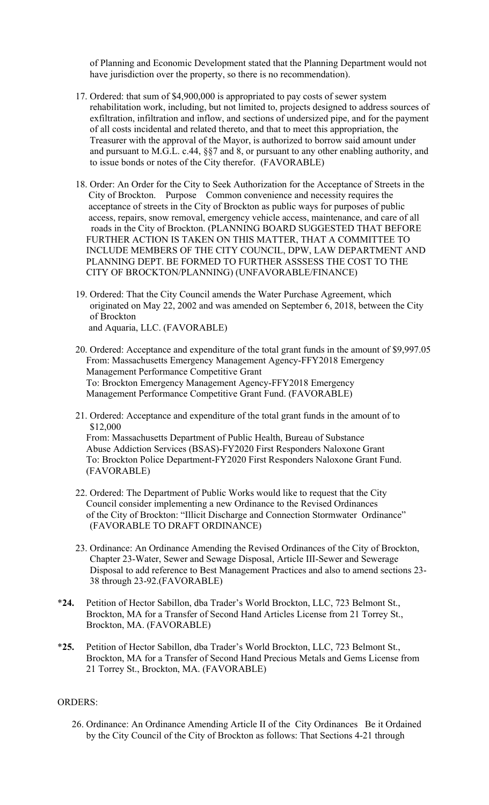of Planning and Economic Development stated that the Planning Department would not have jurisdiction over the property, so there is no recommendation).

- 17. Ordered: that sum of \$4,900,000 is appropriated to pay costs of sewer system rehabilitation work, including, but not limited to, projects designed to address sources of exfiltration, infiltration and inflow, and sections of undersized pipe, and for the payment of all costs incidental and related thereto, and that to meet this appropriation, the Treasurer with the approval of the Mayor, is authorized to borrow said amount under and pursuant to M.G.L. c.44, §§7 and 8, or pursuant to any other enabling authority, and to issue bonds or notes of the City therefor. (FAVORABLE)
- 18. Order: An Order for the City to Seek Authorization for the Acceptance of Streets in the City of Brockton. Purpose Common convenience and necessity requires the acceptance of streets in the City of Brockton as public ways for purposes of public access, repairs, snow removal, emergency vehicle access, maintenance, and care of all roads in the City of Brockton. (PLANNING BOARD SUGGESTED THAT BEFORE FURTHER ACTION IS TAKEN ON THIS MATTER, THAT A COMMITTEE TO INCLUDE MEMBERS OF THE CITY COUNCIL, DPW, LAW DEPARTMENT AND PLANNING DEPT. BE FORMED TO FURTHER ASSSESS THE COST TO THE CITY OF BROCKTON/PLANNING) (UNFAVORABLE/FINANCE)
- 19. Ordered: That the City Council amends the Water Purchase Agreement, which originated on May 22, 2002 and was amended on September 6, 2018, between the City of Brockton and Aquaria, LLC. (FAVORABLE)
- 20. Ordered: Acceptance and expenditure of the total grant funds in the amount of [\\$9,997.05](https://9,997.05) From: Massachusetts Emergency Management Agency-FFY2018 Emergency Management Performance Competitive Grant To: Brockton Emergency Management Agency-FFY2018 Emergency Management Performance Competitive Grant Fund. (FAVORABLE)
- 21. Ordered: Acceptance and expenditure of the total grant funds in the amount of to \$12,000

From: Massachusetts Department of Public Health, Bureau of Substance Abuse Addiction Services (BSAS)-FY2020 First Responders Naloxone Grant To: Brockton Police Department-FY2020 First Responders Naloxone Grant Fund. (FAVORABLE)

- 22. Ordered: The Department of Public Works would like to request that the City Council consider implementing a new Ordinance to the Revised Ordinances of the City of Brockton: "Illicit Discharge and Connection Stormwater Ordinance" (FAVORABLE TO DRAFT ORDINANCE)
- 23. Ordinance: An Ordinance Amending the Revised Ordinances of the City of Brockton, Chapter 23-Water, Sewer and Sewage Disposal, Article III-Sewer and Sewerage Disposal to add reference to Best Management Practices and also to amend sections 23- 38 through 23-92.(FAVORABLE)
- \***24.** Petition of Hector Sabillon, dba Trader's World Brockton, LLC, 723 Belmont St., Brockton, MA for a Transfer of Second Hand Articles License from 21 Torrey St., Brockton, MA. (FAVORABLE)
- \***25.** Petition of Hector Sabillon, dba Trader's World Brockton, LLC, 723 Belmont St., Brockton, MA for a Transfer of Second Hand Precious Metals and Gems License from 21 Torrey St., Brockton, MA. (FAVORABLE)

## ORDERS:

26. Ordinance: An Ordinance Amending Article II of the City Ordinances Be it Ordained by the City Council of the City of Brockton as follows: That Sections 4-21 through